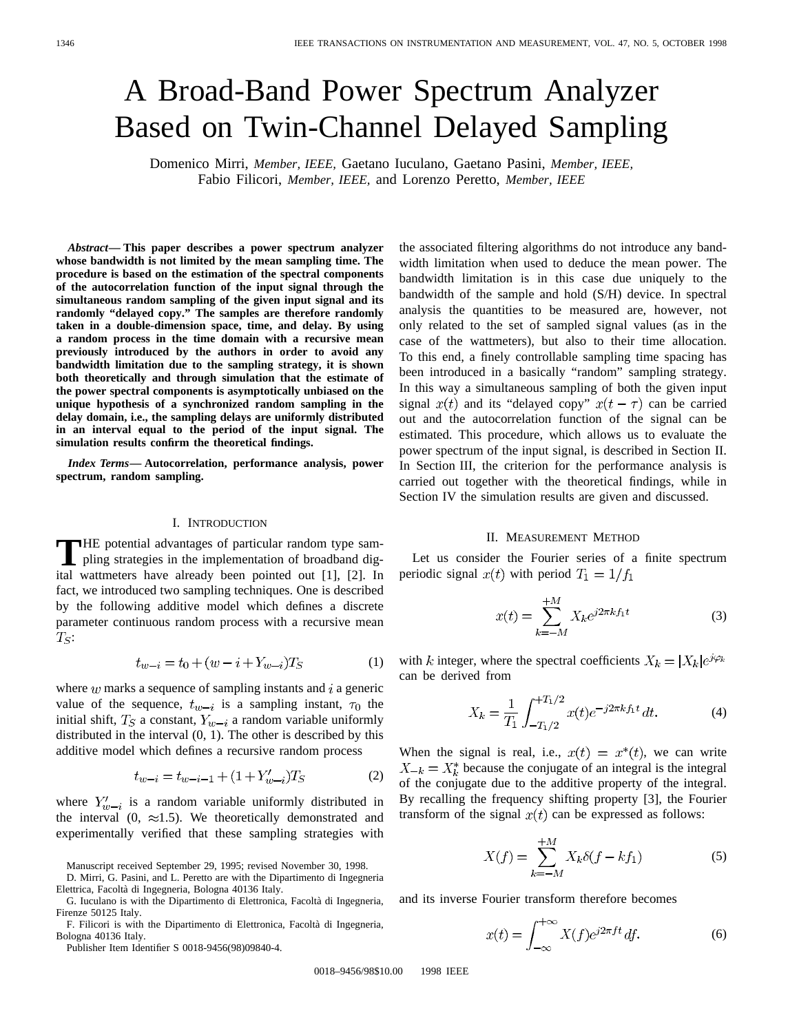# A Broad-Band Power Spectrum Analyzer Based on Twin-Channel Delayed Sampling

Domenico Mirri, *Member, IEEE,* Gaetano Iuculano, Gaetano Pasini, *Member, IEEE,* Fabio Filicori, *Member, IEEE,* and Lorenzo Peretto, *Member, IEEE*

*Abstract—* **This paper describes a power spectrum analyzer whose bandwidth is not limited by the mean sampling time. The procedure is based on the estimation of the spectral components of the autocorrelation function of the input signal through the simultaneous random sampling of the given input signal and its randomly "delayed copy." The samples are therefore randomly taken in a double-dimension space, time, and delay. By using a random process in the time domain with a recursive mean previously introduced by the authors in order to avoid any bandwidth limitation due to the sampling strategy, it is shown both theoretically and through simulation that the estimate of the power spectral components is asymptotically unbiased on the unique hypothesis of a synchronized random sampling in the delay domain, i.e., the sampling delays are uniformly distributed in an interval equal to the period of the input signal. The simulation results confirm the theoretical findings.**

*Index Terms—* **Autocorrelation, performance analysis, power spectrum, random sampling.**

#### I. INTRODUCTION

**T**HE potential advantages of particular random type sampling strategies in the implementation of broadband dig-<br>ital wattractors have already heap pointed out [11, [2]. In ital wattmeters have already been pointed out [1], [2]. In fact, we introduced two sampling techniques. One is described by the following additive model which defines a discrete parameter continuous random process with a recursive mean  $T_S$ :

$$
t_{w-i} = t_0 + (w - i + Y_{w-i})T_S \tag{1}
$$

where  $w$  marks a sequence of sampling instants and  $i$  a generic value of the sequence,  $t_{w-i}$  is a sampling instant,  $\tau_0$  the initial shift,  $T_S$  a constant,  $Y_{w-i}$  a random variable uniformly distributed in the interval (0, 1). The other is described by this additive model which defines a recursive random process

$$
t_{w-i} = t_{w-i-1} + (1 + Y'_{w-i})T_S \tag{2}
$$

where  $Y'_{w-i}$  is a random variable uniformly distributed in the interval  $(0, \approx 1.5)$ . We theoretically demonstrated and experimentally verified that these sampling strategies with

Publisher Item Identifier S 0018-9456(98)09840-4.

the associated filtering algorithms do not introduce any bandwidth limitation when used to deduce the mean power. The bandwidth limitation is in this case due uniquely to the bandwidth of the sample and hold (S/H) device. In spectral analysis the quantities to be measured are, however, not only related to the set of sampled signal values (as in the case of the wattmeters), but also to their time allocation. To this end, a finely controllable sampling time spacing has been introduced in a basically "random" sampling strategy. In this way a simultaneous sampling of both the given input signal  $x(t)$  and its "delayed copy"  $x(t - \tau)$  can be carried out and the autocorrelation function of the signal can be estimated. This procedure, which allows us to evaluate the power spectrum of the input signal, is described in Section II. In Section III, the criterion for the performance analysis is carried out together with the theoretical findings, while in Section IV the simulation results are given and discussed.

### II. MEASUREMENT METHOD

Let us consider the Fourier series of a finite spectrum periodic signal  $x(t)$  with period  $T_1 = 1/f_1$ 

$$
x(t) = \sum_{k=-M}^{+M} X_k e^{j2\pi k f_1 t}
$$
 (3)

with k integer, where the spectral coefficients  $X_k = |X_k|e^{j\varphi_k}$ can be derived from

$$
X_k = \frac{1}{T_1} \int_{-T_1/2}^{+T_1/2} x(t) e^{-j2\pi k f_1 t} dt.
$$
 (4)

When the signal is real, i.e.,  $x(t) = x^*(t)$ , we can write  $X_{-k} = X_k^*$  because the conjugate of an integral is the integral of the conjugate due to the additive property of the integral. By recalling the frequency shifting property [3], the Fourier transform of the signal  $x(t)$  can be expressed as follows:

$$
X(f) = \sum_{k=-M}^{+M} X_k \delta(f - kf_1)
$$
 (5)

and its inverse Fourier transform therefore becomes

$$
x(t) = \int_{-\infty}^{+\infty} X(f)e^{j2\pi ft} df.
$$
 (6)

Manuscript received September 29, 1995; revised November 30, 1998.

D. Mirri, G. Pasini, and L. Peretto are with the Dipartimento di Ingegneria

Elettrica, Facoltà di Ingegneria, Bologna 40136 Italy.

G. Iuculano is with the Dipartimento di Elettronica, Facolta di Ingegneria, ` Firenze 50125 Italy.

F. Filicori is with the Dipartimento di Elettronica, Facolta di Ingegneria, ` Bologna 40136 Italy.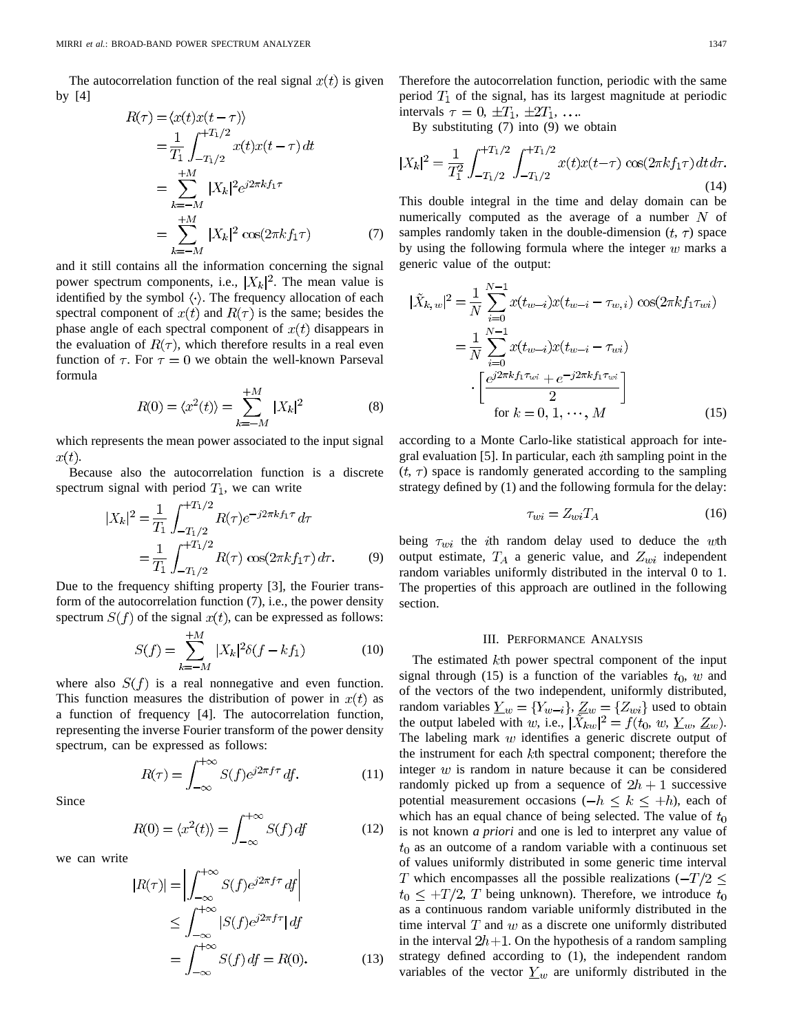The autocorrelation function of the real signal  $x(t)$  is given by [4]

$$
R(\tau) = \langle x(t)x(t-\tau) \rangle
$$
  
=  $\frac{1}{T_1} \int_{-T_1/2}^{+T_1/2} x(t)x(t-\tau) dt$   
=  $\sum_{k=-M}^{+M} |X_k|^2 e^{j2\pi k f_1 \tau}$   
=  $\sum_{k=-M}^{+M} |X_k|^2 \cos(2\pi k f_1 \tau)$  (7)

and it still contains all the information concerning the signal power spectrum components, i.e.,  $|X_k|^2$ . The mean value is identified by the symbol  $\langle \cdot \rangle$ . The frequency allocation of each spectral component of  $x(t)$  and  $R(\tau)$  is the same; besides the phase angle of each spectral component of  $x(t)$  disappears in the evaluation of  $R(\tau)$ , which therefore results in a real even function of  $\tau$ . For  $\tau = 0$  we obtain the well-known Parseval formula

$$
R(0) = \langle x^2(t) \rangle = \sum_{k=-M}^{+M} |X_k|^2 \tag{8}
$$

which represents the mean power associated to the input signal  $x(t)$ .

Because also the autocorrelation function is a discrete spectrum signal with period  $T_1$ , we can write

$$
|X_k|^2 = \frac{1}{T_1} \int_{-T_1/2}^{+T_1/2} R(\tau) e^{-j2\pi k f_1 \tau} d\tau
$$
  
= 
$$
\frac{1}{T_1} \int_{-T_1/2}^{+T_1/2} R(\tau) \cos(2\pi k f_1 \tau) d\tau.
$$
 (9)

Due to the frequency shifting property [3], the Fourier transform of the autocorrelation function (7), i.e., the power density spectrum  $S(f)$  of the signal  $x(t)$ , can be expressed as follows:

$$
S(f) = \sum_{k=-M}^{+M} |X_k|^2 \delta(f - kf_1)
$$
 (10)

where also  $S(f)$  is a real nonnegative and even function. This function measures the distribution of power in  $x(t)$  as a function of frequency [4]. The autocorrelation function, representing the inverse Fourier transform of the power density spectrum, can be expressed as follows:

$$
R(\tau) = \int_{-\infty}^{+\infty} S(f)e^{j2\pi f\tau} df.
$$
 (11)

Since

$$
R(0) = \langle x^2(t) \rangle = \int_{-\infty}^{+\infty} S(f) \, df \tag{12}
$$

we can write

$$
R(\tau)| = \left| \int_{-\infty}^{+\infty} S(f)e^{j2\pi f\tau} df \right|
$$
  
\n
$$
\leq \int_{-\infty}^{+\infty} |S(f)e^{j2\pi f\tau}| df
$$
  
\n
$$
= \int_{-\infty}^{+\infty} S(f) df = R(0). \tag{13}
$$

Therefore the autocorrelation function, periodic with the same period  $T_1$  of the signal, has its largest magnitude at periodic intervals  $\tau = 0, \pm T_1, \pm 2T_1, \ldots$ 

By substituting (7) into (9) we obtain

$$
|X_k|^2 = \frac{1}{T_1^2} \int_{-T_1/2}^{+T_1/2} \int_{-T_1/2}^{+T_1/2} x(t)x(t-\tau) \cos(2\pi k f_1 \tau) dt d\tau.
$$
\n(14)

This double integral in the time and delay domain can be numerically computed as the average of a number  $N$  of samples randomly taken in the double-dimension  $(t, \tau)$  space by using the following formula where the integer  $w$  marks a generic value of the output:

$$
|\tilde{X}_{k,w}|^{2} = \frac{1}{N} \sum_{i=0}^{N-1} x(t_{w-i}) x(t_{w-i} - \tau_{w,i}) \cos(2\pi k f_1 \tau_{wi})
$$

$$
= \frac{1}{N} \sum_{i=0}^{N-1} x(t_{w-i}) x(t_{w-i} - \tau_{wi})
$$

$$
\cdot \left[ \frac{e^{j2\pi k f_1 \tau_{wi}} + e^{-j2\pi k f_1 \tau_{wi}}}{2} \right]
$$
  
for  $k = 0, 1, \dots, M$  (15)

according to a Monte Carlo-like statistical approach for integral evaluation [5]. In particular, each *i*th sampling point in the  $(t, \tau)$  space is randomly generated according to the sampling strategy defined by (1) and the following formula for the delay:

$$
\tau_{wi} = Z_{wi} T_A \tag{16}
$$

being  $\tau_{wi}$  the *i*th random delay used to deduce the wth output estimate,  $T_A$  a generic value, and  $Z_{wi}$  independent random variables uniformly distributed in the interval 0 to 1. The properties of this approach are outlined in the following section.

#### III. PERFORMANCE ANALYSIS

The estimated  $k$ th power spectral component of the input signal through (15) is a function of the variables  $t_0$ , w and of the vectors of the two independent, uniformly distributed, random variables  $\underline{Y}_w = \{Y_{w-i}\}, \underline{Z}_w = \{Z_{wi}\}\$  used to obtain the output labeled with w, i.e.,  $|X_{kw}|^2 = f(t_0, w, \underline{Y}_w, \underline{Z}_w)$ . The labeling mark  $w$  identifies a generic discrete output of the instrument for each  $k$ th spectral component; therefore the integer  $w$  is random in nature because it can be considered randomly picked up from a sequence of  $2h + 1$  successive potential measurement occasions  $(-h \leq k \leq +h)$ , each of which has an equal chance of being selected. The value of  $t_0$ is not known *a priori* and one is led to interpret any value of  $t_0$  as an outcome of a random variable with a continuous set of values uniformly distributed in some generic time interval T which encompasses all the possible realizations  $(-T/2 \leq$  $t_0 \leq +T/2$ , T being unknown). Therefore, we introduce  $t_0$ as a continuous random variable uniformly distributed in the time interval  $T$  and  $w$  as a discrete one uniformly distributed in the interval  $2h+1$ . On the hypothesis of a random sampling strategy defined according to (1), the independent random variables of the vector  $\underline{Y}_w$  are uniformly distributed in the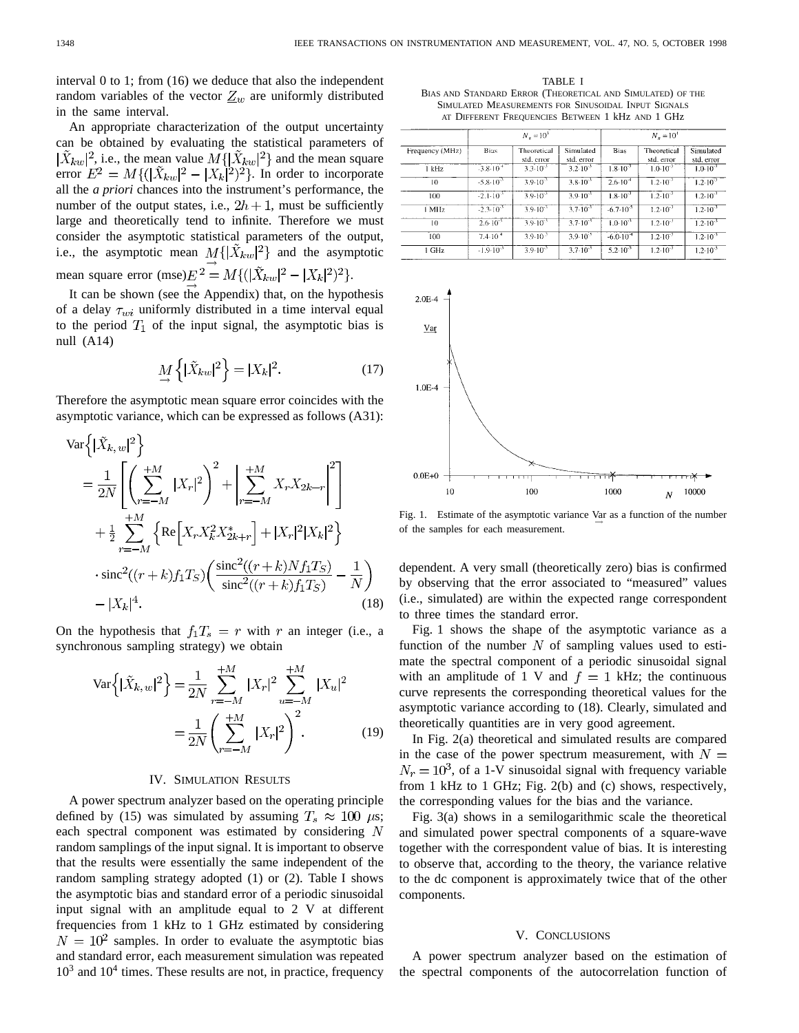interval 0 to 1; from (16) we deduce that also the independent random variables of the vector  $Z_w$  are uniformly distributed in the same interval.

An appropriate characterization of the output uncertainty can be obtained by evaluating the statistical parameters of  $|\tilde{X}_{kw}|^2$ , i.e., the mean value  $M\{|\tilde{X}_{kw}|^2\}$  and the mean square error  $E^2 = M\{(\vert \tilde{X}_{kw} \vert^2 - \vert X_k \vert^2)^2\}$ . In order to incorporate all the *a priori* chances into the instrument's performance, the number of the output states, i.e.,  $2h + 1$ , must be sufficiently large and theoretically tend to infinite. Therefore we must consider the asymptotic statistical parameters of the output, i.e., the asymptotic mean  $M\{\vert \tilde{X}_{kw}\vert^2\}$  and the asymptotic mean square error  $(mse) E^{2} = M \{ (|\tilde{X}_{kw}|^{2} - |X_{k}|^{2})^{2} \}.$ 

It can be shown (see the Appendix) that, on the hypothesis of a delay  $\tau_{wi}$  uniformly distributed in a time interval equal to the period  $T_1$  of the input signal, the asymptotic bias is null (A14)

$$
\underset{\rightarrow}{M} \left\{ |\tilde{X}_{kw}|^2 \right\} = |X_k|^2. \tag{17}
$$

Therefore the asymptotic mean square error coincides with the asymptotic variance, which can be expressed as follows (A31):

$$
\begin{split} \text{Var}\left\{ |\tilde{X}_{k,\,w}|^{2} \right\} \\ &= \frac{1}{2N} \left[ \left( \sum_{r=-M}^{+M} |X_{r}|^{2} \right)^{2} + \left| \sum_{r=-M}^{+M} X_{r} X_{2k-r} \right|^{2} \right] \\ &+ \frac{1}{2} \sum_{r=-M}^{+M} \left\{ \text{Re}\left[ X_{r} X_{k}^{2} X_{2k+r}^{*} \right] + |X_{r}|^{2} |X_{k}|^{2} \right\} \\ &\cdot \text{sinc}^{2}((r+k)f_{1}T_{S}) \left( \frac{\text{sinc}^{2}((r+k)Nf_{1}T_{S})}{\text{sinc}^{2}((r+k)f_{1}T_{S})} - \frac{1}{N} \right) \\ &- |X_{k}|^{4}. \end{split} \tag{18}
$$

On the hypothesis that  $f_1T_s = r$  with r an integer (i.e., a synchronous sampling strategy) we obtain

$$
\text{Var}\left\{ |\tilde{X}_{k,w}|^{2} \right\} = \frac{1}{2N} \sum_{r=-M}^{+M} |X_{r}|^{2} \sum_{u=-M}^{+M} |X_{u}|^{2}
$$

$$
= \frac{1}{2N} \left( \sum_{r=-M}^{+M} |X_{r}|^{2} \right)^{2}.
$$
 (19)

#### IV. SIMULATION RESULTS

A power spectrum analyzer based on the operating principle defined by (15) was simulated by assuming  $T_s \approx 100 \mu s$ ; each spectral component was estimated by considering  $N$ random samplings of the input signal. It is important to observe that the results were essentially the same independent of the random sampling strategy adopted (1) or (2). Table I shows the asymptotic bias and standard error of a periodic sinusoidal input signal with an amplitude equal to 2 V at different frequencies from 1 kHz to 1 GHz estimated by considering  $N = 10^2$  samples. In order to evaluate the asymptotic bias and standard error, each measurement simulation was repeated  $10<sup>3</sup>$  and  $10<sup>4</sup>$  times. These results are not, in practice, frequency

TABLE I BIAS AND STANDARD ERROR (THEORETICAL AND SIMULATED) OF THE SIMULATED MEASUREMENTS FOR SINUSOIDAL INPUT SIGNALS AT DIFFERENT FREQUENCIES BETWEEN 1 kHz AND 1 GHz

|                 | $N_s = 10^3$         |                           |                         | $N_{\rm p} = 10^{4}$ |                           |                         |
|-----------------|----------------------|---------------------------|-------------------------|----------------------|---------------------------|-------------------------|
| Frequency (MHz) | Bias                 | Theoretical<br>std. error | Simulated<br>std. error | <b>Bias</b>          | Theoretical<br>std. error | Simulated<br>std. error |
| 1 kHz           | $-3.8 \cdot 10^{-4}$ | $3.3 \cdot 10^{-3}$       | $3.2 \cdot 10^{-3}$     | $1.8 \cdot 10^{-3}$  | $1.0 - 10^{-3}$           | $1.0 \cdot 10^{-3}$     |
| 10              | $-5.8 \cdot 10^{-3}$ | $3.9 \cdot 10^{-3}$       | $3.8 \cdot 10^{-3}$     | $2.6 \cdot 10^{-4}$  | $1.2 \cdot 10^{-3}$       | $1.2 \cdot 10^{-3}$     |
| 100             | $-2.1 \cdot 10^{-3}$ | $3.9.10^{3}$              | $3.9 \cdot 10^{-3}$     | $1.8 \cdot 10^{-3}$  | $1.2 \cdot 10^{-3}$       | $1.2 \cdot 10^{-3}$     |
| 1 MHz           | $-2.3 \cdot 10^{-3}$ | $3.9 \cdot 10^{-3}$       | $3.7 \cdot 10^{-3}$     | $-6.7 \cdot 10^{-5}$ | $1.2 \cdot 10^{-3}$       | $1.2 \cdot 10^{-3}$     |
| 10              | $2.6 \cdot 10^{-3}$  | $3.9 \cdot 10^{-3}$       | $3.7 \cdot 10^{-3}$     | $1.0 \cdot 10^{-3}$  | $1.2 \cdot 10^{-3}$       | $1.2 \cdot 10^{-3}$     |
| 100             | $7.4 \cdot 10^{4}$   | $3.9 \cdot 10^{3}$        | $3.9 \cdot 10^{-3}$     | $-6.0 \cdot 10^{-4}$ | $1.2 \cdot 10^{-3}$       | $1.2 \cdot 10^{-3}$     |
| 1 GHz           | $-1.9 - 10^{-3}$     | $3.9 \cdot 10^{-3}$       | $3.7 \cdot 10^{-3}$     | $5.2 \cdot 10^{-5}$  | $1.2 \cdot 10^{-3}$       | $1.2 \cdot 10^{-3}$     |



Fig. 1. Estimate of the asymptotic variance  $\lim_{\longrightarrow}$  as a function of the number of the samples for each measurement.

dependent. A very small (theoretically zero) bias is confirmed by observing that the error associated to "measured" values (i.e., simulated) are within the expected range correspondent to three times the standard error.

Fig. 1 shows the shape of the asymptotic variance as a function of the number  $N$  of sampling values used to estimate the spectral component of a periodic sinusoidal signal with an amplitude of 1 V and  $f = 1$  kHz; the continuous curve represents the corresponding theoretical values for the asymptotic variance according to (18). Clearly, simulated and theoretically quantities are in very good agreement.

In Fig. 2(a) theoretical and simulated results are compared in the case of the power spectrum measurement, with  $N =$  $N_r = 10^3$ , of a 1-V sinusoidal signal with frequency variable from 1 kHz to 1 GHz; Fig. 2(b) and (c) shows, respectively, the corresponding values for the bias and the variance.

Fig. 3(a) shows in a semilogarithmic scale the theoretical and simulated power spectral components of a square-wave together with the correspondent value of bias. It is interesting to observe that, according to the theory, the variance relative to the dc component is approximately twice that of the other components.

#### V. CONCLUSIONS

A power spectrum analyzer based on the estimation of the spectral components of the autocorrelation function of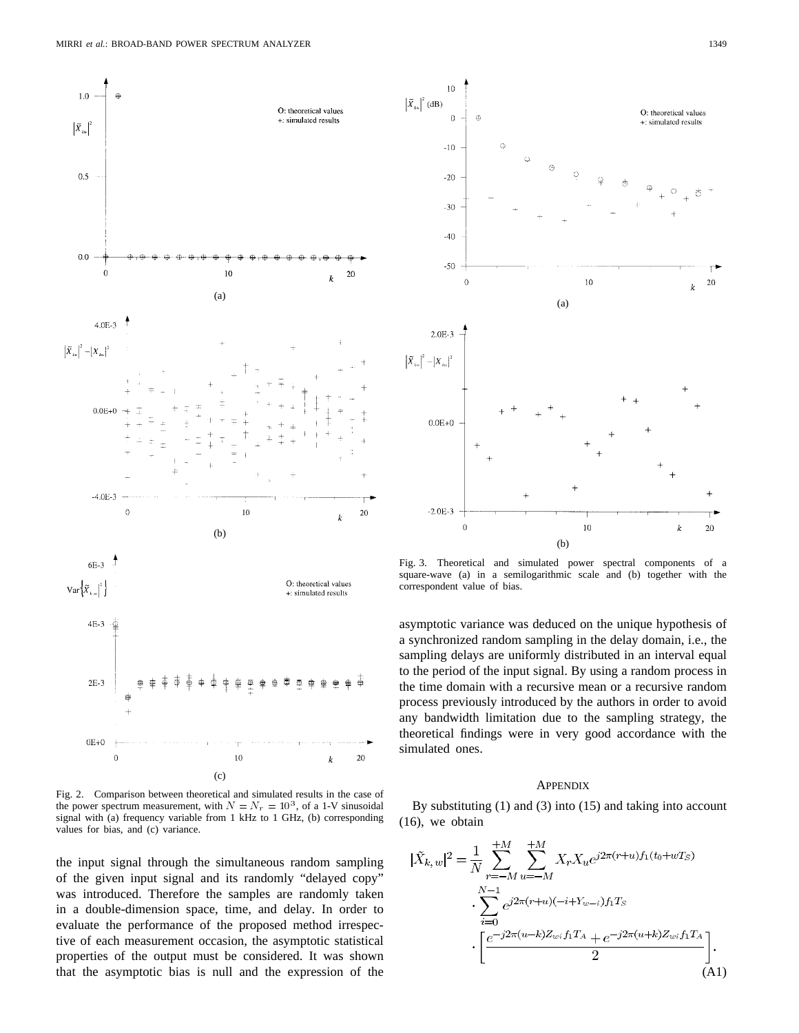

Fig. 2. Comparison between theoretical and simulated results in the case of the power spectrum measurement, with  $N = N_r = 10^3$ , of a 1-V sinusoidal signal with (a) frequency variable from 1 kHz to 1 GHz, (b) corresponding values for bias, and (c) variance.

the input signal through the simultaneous random sampling of the given input signal and its randomly "delayed copy" was introduced. Therefore the samples are randomly taken in a double-dimension space, time, and delay. In order to evaluate the performance of the proposed method irrespective of each measurement occasion, the asymptotic statistical properties of the output must be considered. It was shown that the asymptotic bias is null and the expression of the



Fig. 3. Theoretical and simulated power spectral components of a square-wave (a) in a semilogarithmic scale and (b) together with the correspondent value of bias.

asymptotic variance was deduced on the unique hypothesis of a synchronized random sampling in the delay domain, i.e., the sampling delays are uniformly distributed in an interval equal to the period of the input signal. By using a random process in the time domain with a recursive mean or a recursive random process previously introduced by the authors in order to avoid any bandwidth limitation due to the sampling strategy, the theoretical findings were in very good accordance with the simulated ones.

## **APPENDIX**

By substituting  $(1)$  and  $(3)$  into  $(15)$  and taking into account (16), we obtain

$$
|\tilde{X}_{k,w}|^{2} = \frac{1}{N} \sum_{r=-M}^{+M} \sum_{u=-M}^{+M} X_{r} X_{u} e^{j2\pi(r+u) f_{1}(t_{0}+wT_{S})}
$$

$$
\cdot \sum_{i=0}^{N-1} e^{j2\pi(r+u)(-i+Y_{w-i})f_{1}T_{S}}
$$

$$
\cdot \left[ \frac{e^{-j2\pi(u-k)Z_{wi}f_{1}T_{A}} + e^{-j2\pi(u+k)Z_{wi}f_{1}T_{A}}}{2} \right].
$$
(A1)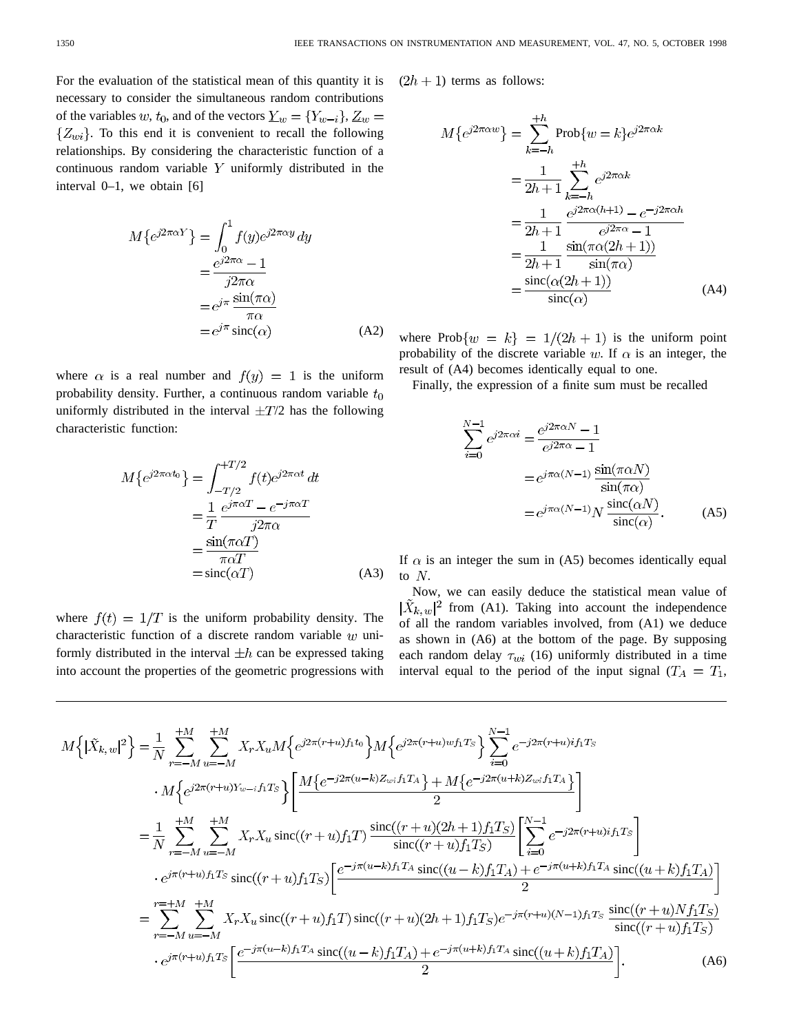For the evaluation of the statistical mean of this quantity it is necessary to consider the simultaneous random contributions of the variables w,  $t_0$ , and of the vectors  $\underline{Y}_w = \{Y_{w-i}\}, \underline{Z}_w =$  $\{Z_{wi}\}$ . To this end it is convenient to recall the following relationships. By considering the characteristic function of a continuous random variable  $Y$  uniformly distributed in the interval 0–1, we obtain [6]

$$
M\{e^{j2\pi\alpha Y}\} = \int_0^1 f(y)e^{j2\pi\alpha y} dy
$$
  
= 
$$
\frac{e^{j2\pi\alpha} - 1}{j2\pi\alpha}
$$
  
= 
$$
e^{j\pi} \frac{\sin(\pi\alpha)}{\pi\alpha}
$$
  
= 
$$
e^{j\pi} \operatorname{sinc}(\alpha)
$$
 (A2)

where  $\alpha$  is a real number and  $f(y) = 1$  is the uniform probability density. Further, a continuous random variable  $t_0$ uniformly distributed in the interval  $\pm T/2$  has the following characteristic function:

$$
M\{e^{j2\pi\alpha t_0}\} = \int_{-T/2}^{+T/2} f(t)e^{j2\pi\alpha t} dt
$$

$$
= \frac{1}{T} \frac{e^{j\pi\alpha T} - e^{-j\pi\alpha T}}{j2\pi\alpha}
$$

$$
= \frac{\sin(\pi\alpha T)}{\pi\alpha T}
$$

$$
= \text{sinc}(\alpha T) \tag{A3}
$$

where  $f(t) = 1/T$  is the uniform probability density. The characteristic function of a discrete random variable  $w$  uniformly distributed in the interval  $\pm h$  can be expressed taking into account the properties of the geometric progressions with  $(2h + 1)$  terms as follows:

$$
M\{e^{j2\pi\alpha w}\} = \sum_{k=-h}^{+h} \text{Prob}\{w=k\}e^{j2\pi\alpha k}
$$

$$
= \frac{1}{2h+1} \sum_{k=-h}^{+h} e^{j2\pi\alpha k}
$$

$$
= \frac{1}{2h+1} \frac{e^{j2\pi\alpha(h+1)} - e^{-j2\pi\alpha h}}{e^{j2\pi\alpha} - 1}
$$

$$
= \frac{1}{2h+1} \frac{\sin(\pi\alpha(2h+1))}{\sin(\pi\alpha)}
$$

$$
= \frac{\text{sinc}(\alpha(2h+1))}{\text{sinc}(\alpha)}
$$
(A4)

where Prob $\{w = k\} = 1/(2h + 1)$  is the uniform point probability of the discrete variable w. If  $\alpha$  is an integer, the result of (A4) becomes identically equal to one.

Finally, the expression of a finite sum must be recalled

$$
\sum_{i=0}^{N-1} e^{j2\pi\alpha i} = \frac{e^{j2\pi\alpha N} - 1}{e^{j2\pi\alpha} - 1}
$$

$$
= e^{j\pi\alpha(N-1)} \frac{\sin(\pi\alpha N)}{\sin(\pi\alpha)}
$$

$$
= e^{j\pi\alpha(N-1)} N \frac{\sin(c\alpha N)}{\sin(c\alpha)}.
$$
(A5)

If  $\alpha$  is an integer the sum in (A5) becomes identically equal to  $N$ .

Now, we can easily deduce the statistical mean value of  $|\tilde{X}_{k, w}|^2$  from (A1). Taking into account the independence of all the random variables involved, from (A1) we deduce as shown in (A6) at the bottom of the page. By supposing each random delay  $\tau_{wi}$  (16) uniformly distributed in a time interval equal to the period of the input signal  $(T_A = T_1,$ 

$$
M\left\{ |\tilde{X}_{k,w}|^{2} \right\} = \frac{1}{N} \sum_{r=-M}^{+M} \sum_{u=-M}^{+M} X_{r} X_{u} M\left\{ e^{j2\pi (r+u)f_{1}t_{0}} \right\} M\left\{ e^{j2\pi (r+u)wf_{1}T_{S}} \right\} \sum_{i=0}^{N-1} e^{-j2\pi (r+u)if_{1}T_{S}}
$$
  
\n
$$
\cdot M\left\{ e^{j2\pi (r+u)Y_{w-i}f_{1}T_{S}} \right\} \left[ \frac{M\left\{ e^{-j2\pi (u-k)Z_{wi}f_{1}T_{A}} \right\} + M\left\{ e^{-j2\pi (u+k)Z_{wi}f_{1}T_{A}} \right\}}{2} \right]
$$
  
\n
$$
= \frac{1}{N} \sum_{r=-M}^{+M} \sum_{u=-M}^{+M} X_{r} X_{u} \operatorname{sinc}((r+u)f_{1}T) \frac{\operatorname{sinc}((r+u)(2h+1)f_{1}T_{S})}{\operatorname{sinc}((r+u)f_{1}T_{S})} \left[ \sum_{i=0}^{N-1} e^{-j2\pi (r+u)i} f_{1}T_{S} \right]
$$
  
\n
$$
\cdot e^{j\pi (r+u)f_{1}T_{S}} \operatorname{sinc}((r+u)f_{1}T_{S}) \left[ \frac{e^{-j\pi (u-k)f_{1}T_{A}} \operatorname{sinc}((u-k)f_{1}T_{A}) + e^{-j\pi (u+k)f_{1}T_{A}} \operatorname{sinc}((u+k)f_{1}T_{A})}{2} \right]
$$
  
\n
$$
= \sum_{r=-M}^{r=+M} \sum_{u=-M}^{+M} X_{r} X_{u} \operatorname{sinc}((r+u)f_{1}T) \operatorname{sinc}((r+u)(2h+1)f_{1}T_{S}) e^{-j\pi (r+u)(N-1)f_{1}T_{S}} \frac{\operatorname{sinc}((r+u)Nf_{1}T_{S})}{\operatorname{sinc}((r+u)f_{1}T_{S})}
$$
  
\n
$$
\cdot e^{j\pi (r+u)f_{1}T_{S}} \left[ \frac{e^{-j\pi (u-k)f_{1}T_{A}} \operatorname{sinc}((u-k)f_{1}T_{A}) + e^{-j
$$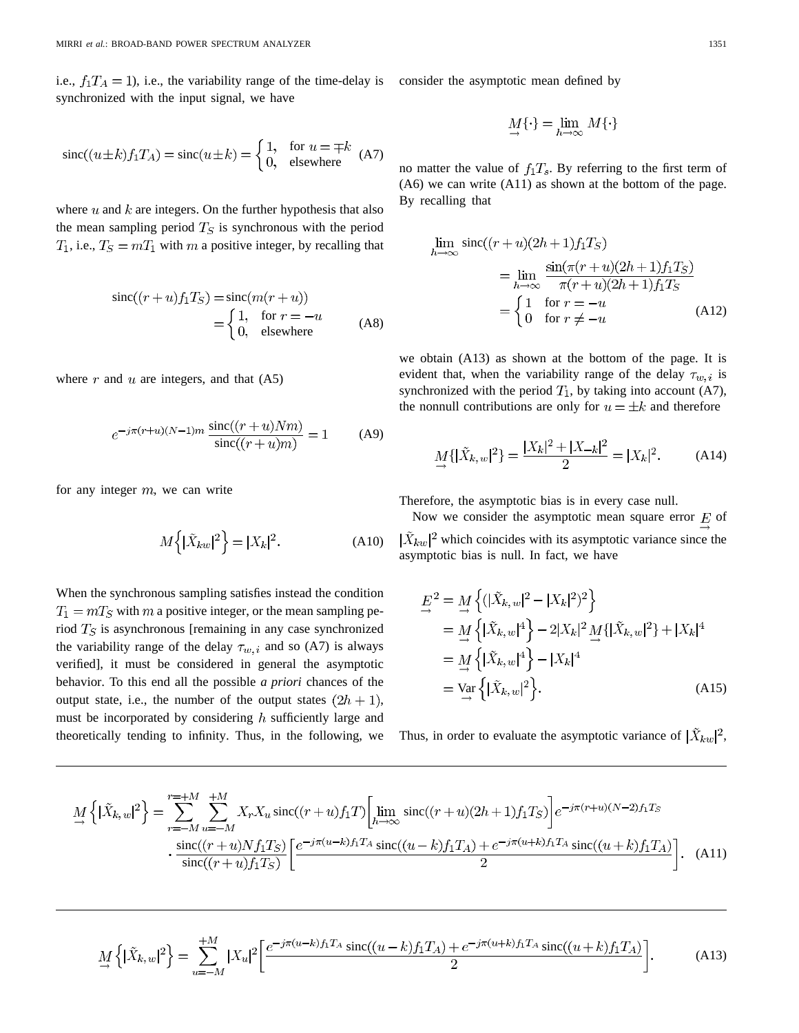i.e.,  $f_1T_A = 1$ ), i.e., the variability range of the time-delay is consider the asymptotic mean defined by synchronized with the input signal, we have

$$
\operatorname{sinc}((u \pm k) f_1 T_A) = \operatorname{sinc}(u \pm k) = \begin{cases} 1, & \text{for } u = \mp k \\ 0, & \text{elsewhere} \end{cases} \tag{A7}
$$

where  $u$  and  $k$  are integers. On the further hypothesis that also the mean sampling period  $T<sub>S</sub>$  is synchronous with the period  $T_1$ , i.e.,  $T_S = mT_1$  with m a positive integer, by recalling that

$$
\text{sinc}((r+u)f_1T_S) = \text{sinc}(m(r+u))
$$

$$
= \begin{cases} 1, & \text{for } r = -u \\ 0, & \text{elsewhere} \end{cases}
$$
(A8)

where  $r$  and  $u$  are integers, and that  $(A5)$ 

$$
e^{-j\pi(r+u)(N-1)m} \frac{\text{sinc}((r+u)Nm)}{\text{sinc}((r+u)m)} = 1
$$
 (A9)

for any integer  $m$ , we can write

$$
M\left\{ |\tilde{X}_{kw}|^2 \right\} = |X_k|^2. \tag{A10}
$$

When the synchronous sampling satisfies instead the condition  $T_1 = mT_S$  with m a positive integer, or the mean sampling period  $T<sub>S</sub>$  is asynchronous [remaining in any case synchronized the variability range of the delay  $\tau_{w,i}$  and so (A7) is always verified], it must be considered in general the asymptotic behavior. To this end all the possible *a priori* chances of the output state, i.e., the number of the output states  $(2h + 1)$ , must be incorporated by considering  $h$  sufficiently large and theoretically tending to infinity. Thus, in the following, we

$$
\mathop{\underline{M}}_\rightarrow\{\cdot\}=\lim_{h\to\infty}\,M\{\cdot\}
$$

no matter the value of  $f_1T_s$ . By referring to the first term of (A6) we can write (A11) as shown at the bottom of the page. By recalling that

$$
\lim_{h \to \infty} \operatorname{sinc}((r+u)(2h+1)f_1T_S)
$$
\n
$$
= \lim_{h \to \infty} \frac{\sin(\pi(r+u)(2h+1)f_1T_S)}{\pi(r+u)(2h+1)f_1T_S}
$$
\n
$$
= \begin{cases}\n1 & \text{for } r = -u \\
0 & \text{for } r \neq -u\n\end{cases}
$$
\n(A12)

we obtain (A13) as shown at the bottom of the page. It is evident that, when the variability range of the delay  $\tau_{w,i}$  is synchronized with the period  $T_1$ , by taking into account (A7), the nonnull contributions are only for  $u = \pm k$  and therefore

$$
\mathcal{M}\{|\tilde{X}_{k,w}|^2\} = \frac{|X_k|^2 + |X_{-k}|^2}{2} = |X_k|^2. \tag{A14}
$$

Therefore, the asymptotic bias is in every case null.

Now we consider the asymptotic mean square error  $E$  of  $|\tilde{X}_{kw}|^2$  which coincides with its asymptotic variance since the asymptotic bias is null. In fact, we have

$$
\underline{E}^{2} = \underline{M} \left\{ (|\tilde{X}_{k,w}|^{2} - |X_{k}|^{2})^{2} \right\} \n= \underline{M} \left\{ |\tilde{X}_{k,w}|^{4} \right\} - 2|X_{k}|^{2} \underline{M} \{ |\tilde{X}_{k,w}|^{2} \} + |X_{k}|^{4} \n= \underline{M} \left\{ |\tilde{X}_{k,w}|^{4} \right\} - |X_{k}|^{4} \n= \underline{Var} \left\{ |\tilde{X}_{k,w}|^{2} \right\}.
$$
\n(A15)

Thus, in order to evaluate the asymptotic variance of  $|\tilde{X}_{kw}|^2$ ,

$$
\underline{M} \left\{ |\tilde{X}_{k,w}|^{2} \right\} = \sum_{r=-M}^{r=+M} \sum_{u=-M}^{+M} X_{r} X_{u} \operatorname{sinc}((r+u) f_{1} T) \left[ \lim_{h \to \infty} \operatorname{sinc}((r+u) (2h+1) f_{1} T_{S}) \right] e^{-j\pi (r+u)(N-2) f_{1} T_{S}} \cdot \frac{\operatorname{sinc}((r+u) N f_{1} T_{S})}{\operatorname{sinc}((r+u) f_{1} T_{S})} \left[ \frac{e^{-j\pi (u-k) f_{1} T_{A}} \operatorname{sinc}((u-k) f_{1} T_{A}) + e^{-j\pi (u+k) f_{1} T_{A}} \operatorname{sinc}((u+k) f_{1} T_{A})}{2} \right].
$$
 (A11)

$$
\underline{M} \left\{ |\tilde{X}_{k,w}|^2 \right\} = \sum_{u=-M}^{+M} |X_u|^2 \left[ \frac{e^{-j\pi(u-k)f_1T_A} \operatorname{sinc}((u-k)f_1T_A) + e^{-j\pi(u+k)f_1T_A} \operatorname{sinc}((u+k)f_1T_A)}{2} \right].
$$
 (A13)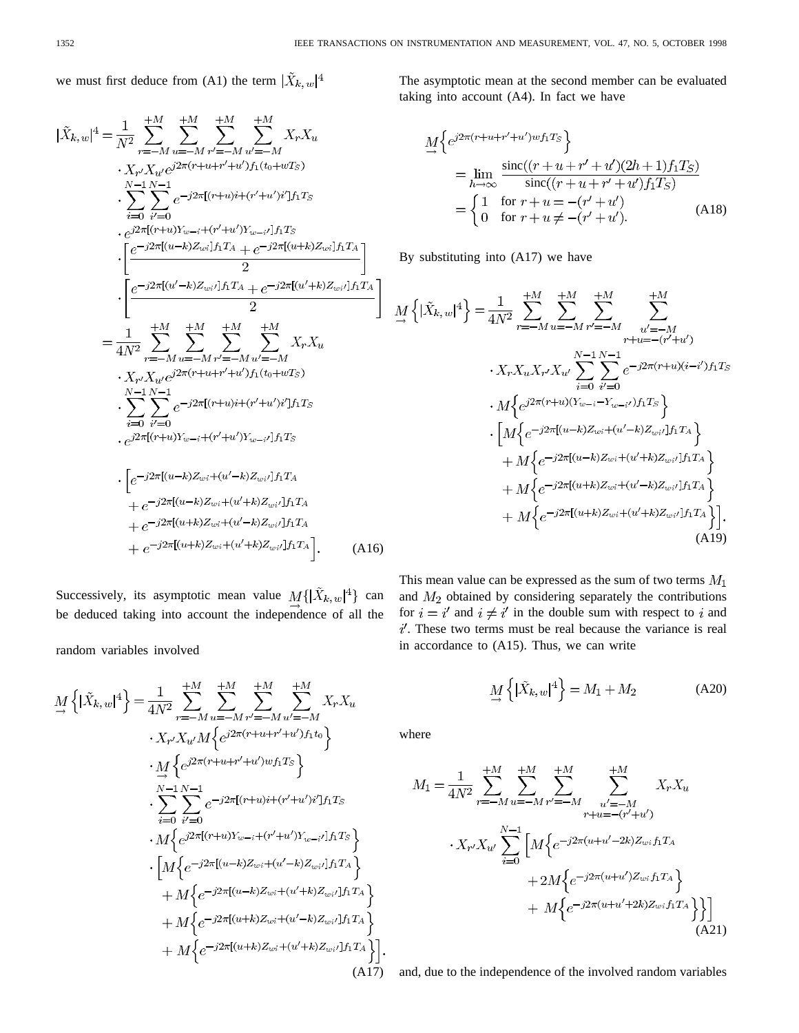we must first deduce from (A1) the term  $|\tilde{X}_{k, w}|^4$ 

$$
|\tilde{X}_{k,w}|^{4} = \frac{1}{N^{2}} \sum_{r=-M}^{+M} \sum_{u=-M}^{+M} \sum_{r'=-M}^{+M} \sum_{u'=-M}^{+M} X_{r} X_{u}
$$
  
\n
$$
\cdot X_{r'} X_{u'} e^{j2\pi(r+u+r'+u')f_{1}(t_{0}+wT_{S})}
$$
  
\n
$$
\cdot \sum_{i=0}^{N-1} \sum_{i'=0}^{N-1} e^{-j2\pi[(r+u)i+(r'+u')i']f_{1}T_{S}}
$$
  
\n
$$
\cdot e^{j2\pi[(u-k)Y_{w-i}+(r'+u')Y_{w-i'}]f_{1}T_{S}}
$$
  
\n
$$
\cdot \left[ \frac{e^{-j2\pi[(u-k)Z_{wi}]}f_{1}T_{A} + e^{-j2\pi[(u+k)Z_{wi}]}f_{1}T_{A}}{2} \right]
$$
  
\n
$$
= \frac{1}{4N^{2}} \sum_{r=-M}^{+M} \sum_{u=-M}^{+M} \sum_{r'=-M}^{+M} \sum_{u'=-M}^{+M} X_{r} X_{u}
$$
  
\n
$$
\cdot X_{r'} X_{u'} e^{j2\pi(r+u+r'+u')f_{1}(t_{0}+wT_{S})}
$$
  
\n
$$
\cdot \sum_{i=0}^{N-1} \sum_{i'=0}^{N-1} e^{-j2\pi[(r+u)i+(r'+u')i']f_{1}T_{S}}
$$
  
\n
$$
\cdot e^{j2\pi[(r+u)Y_{w-i}+(r'+u')Y_{w-i'}]f_{1}T_{S}}
$$
  
\n
$$
\cdot \left[ e^{-j2\pi[(u-k)Z_{wi}+(u'-k)Z_{wi'}]f_{1}T_{A}} + e^{-j2\pi[(u-k)Z_{wi}+(u'+k)Z_{wi'}]f_{1}T_{A}} + e^{-j2\pi[(u+k)Z_{wi}+(u'+k)Z_{wi'}]f_{1}T_{A}} + e^{-j2\pi[(u+k)Z_{wi}+(u'+k)Z_{wi'}]f_{1}T_{A}} \right].
$$
 (A16)

Successively, its asymptotic mean value  $M\{\vert \tilde{X}_{k}, w \vert^4\}$  can be deduced taking into account the independence of all the

random variables involved

$$
\underline{M} \left\{ |\tilde{X}_{k,w}|^{4} \right\} = \frac{1}{4N^{2}} \sum_{r=-M}^{+M} \sum_{u=-M}^{+M} \sum_{u'=-M}^{+M} \sum_{u'=-M}^{+M} X_{r} X_{u}
$$
\n
$$
\cdot X_{r'} X_{u'} M \left\{ e^{j2\pi (r+u+r'+u')f_1 t_0} \right\}
$$
\n
$$
\cdot \underline{M} \left\{ e^{j2\pi (r+u+r'+u')\omega f_1 T_S} \right\}
$$
\n
$$
\cdot \sum_{i=0}^{N-1} \sum_{i'=0}^{N-1} e^{-j2\pi [(r+u)i+(r'+u')i']f_1 T_S}
$$
\n
$$
\cdot \left[ M \left\{ e^{j2\pi [(r+u)Y_{w-i}+(r'+u')Y_{w-i'}]f_1 T_S} \right\} \right]
$$
\n
$$
\cdot \left[ M \left\{ e^{-j2\pi [(u-k)Z_{wi}+(u'-k)Z_{wi}i]f_1 T_A} \right\} \right]
$$
\n
$$
+ M \left\{ e^{-j2\pi [(u-k)Z_{wi}+(u'+k)Z_{wi}i]f_1 T_A} \right\}
$$
\n
$$
+ M \left\{ e^{-j2\pi [(u+k)Z_{wi}+(u'-k)Z_{wi}i]f_1 T_A} \right\}
$$
\n
$$
+ M \left\{ e^{-j2\pi [(u+k)Z_{wi}+(u'+k)Z_{wi}i]f_1 T_A} \right\}.
$$
\n(A17)

The asymptotic mean at the second member can be evaluated taking into account (A4). In fact we have

$$
\begin{split} \underline{M} \Big\{ e^{j2\pi(r+u+r'+u')\omega f_1 T_S} \Big\} \\ &= \lim_{h \to \infty} \frac{\text{sinc}((r+u+r'+u')(2h+1)f_1 T_S)}{\text{sinc}((r+u+r'+u')f_1 T_S)} \\ &= \begin{cases} 1 & \text{for } r+u = -(r'+u')\\ 0 & \text{for } r+u \ne -(r'+u'). \end{cases} \end{split} \tag{A18}
$$

By substituting into (A17) we have

$$
M\left\{ |\tilde{X}_{k,w}|^{4} \right\} = \frac{1}{4N^{2}} \sum_{r=-M}^{+M} \sum_{u=-M}^{+M} \sum_{r'=M}^{+M} \sum_{u'=-M}^{u'=-M} \sum_{r+u=-(r'+u')}^{u'=M} \sum_{r+u=-(r'+u')}^{r+u=-(r'+u')} \cdot X_{r} X_{u} X_{r'} X_{u'} \sum_{i=0}^{N-1} \sum_{i'=0}^{N-1} e^{-j2\pi(r+u)(i-i')} f_{1} T_{S} \cdot M\left\{ e^{j2\pi(r+u)(Y_{w-i}-Y_{w-i'})f_{1} T_{S}} \right\} + M\left\{ e^{-j2\pi[(u-k)Z_{wi}+(u'+k)Z_{wi'}]f_{1} T_{A}} \right\} + M\left\{ e^{-j2\pi[(u+k)Z_{wi}+(u'-k)Z_{wi'}]f_{1} T_{A}} \right\} + M\left\{ e^{-j2\pi[(u+k)Z_{wi}+(u'+k)Z_{wi'}]f_{1} T_{A}} \right\}.
$$
\n(A19)

This mean value can be expressed as the sum of two terms  $M_1$ and  $M_2$  obtained by considering separately the contributions for  $i = i'$  and  $i \neq i'$  in the double sum with respect to i and  $i'$ . These two terms must be real because the variance is real in accordance to (A15). Thus, we can write

$$
\underset{\rightarrow}{M} \left\{ |\tilde{X}_{k,w}|^4 \right\} = M_1 + M_2 \tag{A20}
$$

where

$$
M_{1} = \frac{1}{4N^{2}} \sum_{r=-M}^{+M} \sum_{u=-M}^{+M} \sum_{r'=-M}^{+M} \sum_{\substack{u'=-M \\ r+u=-(r'+u')}}^{+M} X_{r} X_{u}
$$
  
 
$$
\cdot X_{r'} X_{u'} \sum_{i=0}^{N-1} \left[ M \left\{ e^{-j2\pi(u+u'-2k)Z_{wi}f_{1}T_{A}} \right. \right. \\ \left. + 2M \left\{ e^{-j2\pi(u+u')Z_{wi}f_{1}T_{A}} \right\} \right] + M \left\{ e^{-j2\pi(u+u'+2k)Z_{wi}f_{1}T_{A}} \right\} \right] \tag{A21}
$$

and, due to the independence of the involved random variables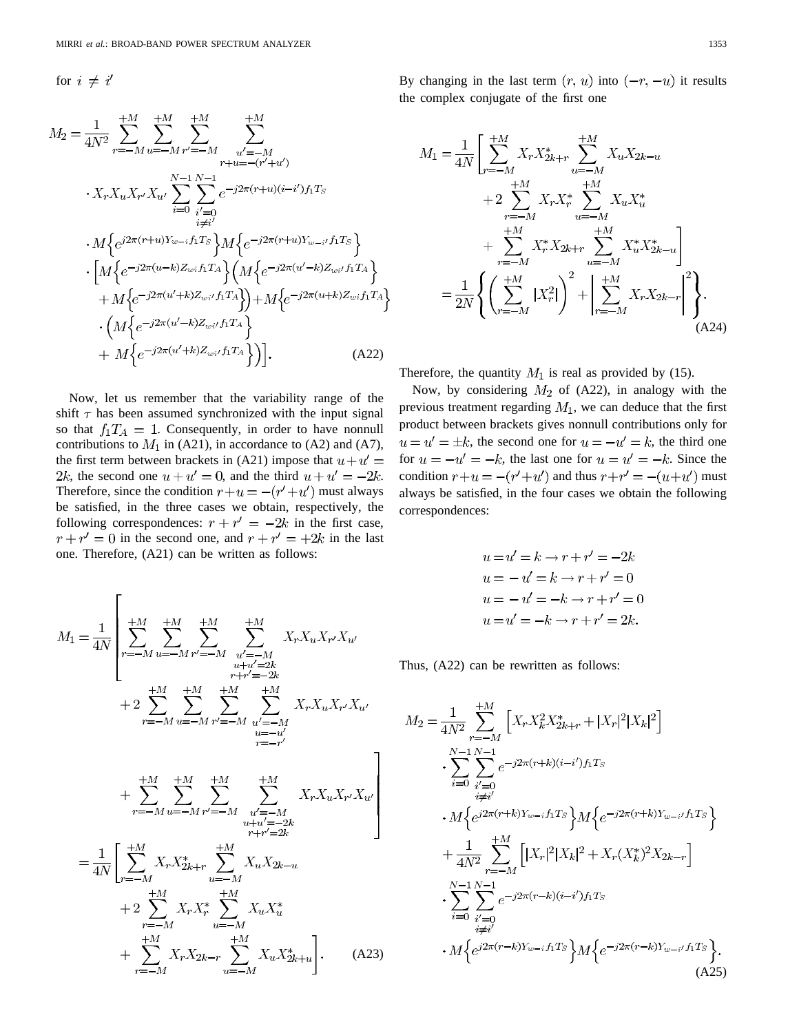for  $i \neq i'$ 

$$
M_{2} = \frac{1}{4N^{2}} \sum_{r=-M}^{+M} \sum_{u=-M}^{+M} \sum_{r'=M}^{+M} \sum_{u'=-M}^{u'=-M} \sum_{r+u=-(r'+u')}^{u'=-M} \n\cdot X_{r} X_{u} X_{r'} X_{u'} \sum_{i=0}^{N-1} \sum_{\substack{i'=0 \ i \neq i'}}^{N-1} e^{-j2\pi (r+u)(i-i')f_{1}T_{S}} \n\cdot M \left\{ e^{j2\pi (r+u)Y_{w-i}f_{1}T_{S}} \right\} M \left\{ e^{-j2\pi (u'-k)Z_{w,i}f_{1}T_{A}} \right\} \n\cdot \left[ M \left\{ e^{-j2\pi (u'+k)Z_{wi}f_{1}T_{A}} \right\} \left( M \left\{ e^{-j2\pi (u'+k)Z_{wi}f_{1}T_{A}} \right\} \right) + M \left\{ e^{-j2\pi (u'+k)Z_{wi}f_{1}T_{A}} \right\} \right] \n\cdot \left( M \left\{ e^{-j2\pi (u'-k)Z_{wi}f_{1}T_{A}} \right\} \right) + M \left\{ e^{-j2\pi (u'+k)Z_{wi}f_{1}T_{A}} \right\} \n+ M \left\{ e^{-j2\pi (u'+k)Z_{wi}f_{1}T_{A}} \right\} \right].
$$
\n(A22)

Now, let us remember that the variability range of the shift  $\tau$  has been assumed synchronized with the input signal so that  $f_1T_A = 1$ . Consequently, in order to have nonnull contributions to  $M_1$  in (A21), in accordance to (A2) and (A7), the first term between brackets in (A21) impose that  $u + u' =$ 2k, the second one  $u + u' = 0$ , and the third  $u + u' = -2k$ . Therefore, since the condition  $r+u = -(r'+u')$  must always be satisfied, in the three cases we obtain, respectively, the following correspondences:  $r + r' = -2k$  in the first case,  $r + r' = 0$  in the second one, and  $r + r' = +2k$  in the last one. Therefore, (A21) can be written as follows:

$$
M_{1} = \frac{1}{4N} \left[ \sum_{r=-M}^{+M} \sum_{u=-M}^{+M} \sum_{v'=-M}^{+M} \sum_{\substack{u'=M \\ u+u'=2k \\ r+r'=2k}}^{+M} X_{r} X_{u} X_{r'} X_{u'}
$$
  
+2
$$
\sum_{r=-M}^{+M} \sum_{u=-M}^{+M} \sum_{r'=-M}^{+M} \sum_{\substack{u'=M \\ u=u' \\ u=u' \\ r=r'}}^{+M} X_{r} X_{u} X_{r} X_{u} X_{r'} X_{u'}
$$
  
+
$$
\sum_{r=-M}^{+M} \sum_{u=-M}^{+M} \sum_{\substack{v'=M \\ u+u'=-2k \\ v+1'=2k}}^{+M} X_{r} X_{u} X_{r} X_{u} X_{r'} X_{u'}
$$
  
=
$$
\frac{1}{4N} \left[ \sum_{r=-M}^{+M} X_{r} X_{2k+r} \sum_{u=-M}^{+M} X_{u} X_{2k-u} + 2 \sum_{r=-M}^{+M} X_{r} X_{r} X_{r} \sum_{u=-M}^{+M} X_{u} X_{2k+u}^{*} \right].
$$
 (A23)

By changing in the last term  $(r, u)$  into  $(-r, -u)$  it results the complex conjugate of the first one

$$
M_{1} = \frac{1}{4N} \left[ \sum_{r=-M}^{+M} X_{r} X_{2k+r}^{*} \sum_{u=-M}^{+M} X_{u} X_{2k-u} + 2 \sum_{r=-M}^{+M} X_{r} X_{r}^{*} \sum_{u=-M}^{+M} X_{u} X_{u}^{*} + \sum_{r=-M}^{+M} X_{r}^{*} X_{2k+r} \sum_{u=-M}^{+M} X_{u}^{*} X_{2k-u}^{*} \right] = \frac{1}{2N} \left\{ \left( \sum_{r=-M}^{+M} |X_{r}^{2}| \right)^{2} + \left| \sum_{r=-M}^{+M} X_{r} X_{2k-r} \right|^{2} \right\}.
$$
\n(A24)

Therefore, the quantity  $M_1$  is real as provided by (15).

Now, by considering  $M_2$  of (A22), in analogy with the previous treatment regarding  $M_1$ , we can deduce that the first product between brackets gives nonnull contributions only for  $u = u' = \pm k$ , the second one for  $u = -u' = k$ , the third one for  $u = -u' = -k$ , the last one for  $u = u' = -k$ . Since the condition  $r+u = -(r'+u')$  and thus  $r+r' = -(u+u')$  must always be satisfied, in the four cases we obtain the following correspondences:

$$
u = u' = k \rightarrow r + r' = -2k
$$
  
\n
$$
u = -u' = k \rightarrow r + r' = 0
$$
  
\n
$$
u = -u' = -k \rightarrow r + r' = 0
$$
  
\n
$$
u = u' = -k \rightarrow r + r' = 2k.
$$

Thus, (A22) can be rewritten as follows:

$$
M_{2} = \frac{1}{4N^{2}} \sum_{r=-M}^{+M} \left[ X_{r} X_{k}^{2} X_{2k+r}^{*} + |X_{r}|^{2} |X_{k}|^{2} \right]
$$
  
\n
$$
\cdot \sum_{i=0}^{N-1} \sum_{\substack{i'=0 \ i \neq i'}}^{N-1} e^{-j2\pi(r+k)(i-i')f_{1}T_{S}}
$$
  
\n
$$
\cdot M \left\{ e^{j2\pi(r+k)Y_{w-i}f_{1}T_{S}} \right\} M \left\{ e^{-j2\pi(r+k)Y_{w-i'}f_{1}T_{S}} \right\}
$$
  
\n
$$
+ \frac{1}{4N^{2}} \sum_{r=-M}^{+M} \left[ |X_{r}|^{2} |X_{k}|^{2} + X_{r}(X_{k}^{*})^{2} X_{2k-r} \right]
$$
  
\n
$$
\cdot \sum_{i=0}^{N-1} \sum_{\substack{i'=0 \ i \neq i'}}^{N-1} e^{-j2\pi(r-k)(i-i')f_{1}T_{S}}
$$
  
\n
$$
\cdot M \left\{ e^{j2\pi(r-k)Y_{w-i}f_{1}T_{S}} \right\} M \left\{ e^{-j2\pi(r-k)Y_{w-i'}f_{1}T_{S}} \right\}.
$$
  
\n(A25)